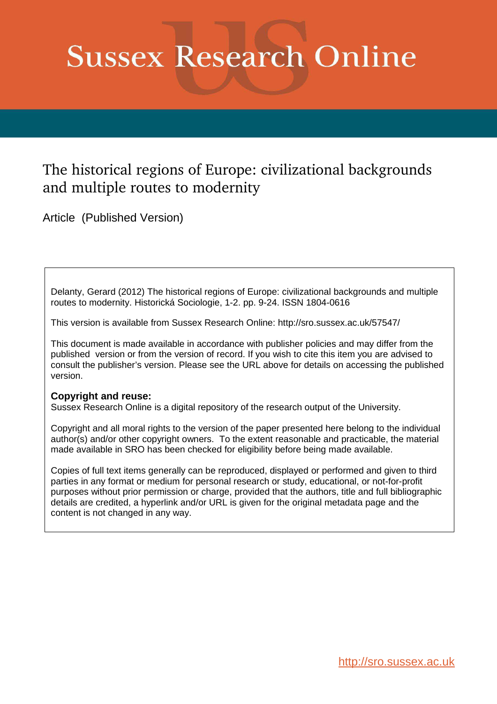# **Sussex Research Online**

# The historical regions of Europe: civilizational backgrounds and multiple routes to modernity

Article (Published Version)

Delanty, Gerard (2012) The historical regions of Europe: civilizational backgrounds and multiple routes to modernity. Historická Sociologie, 1-2. pp. 9-24. ISSN 1804-0616

This version is available from Sussex Research Online: http://sro.sussex.ac.uk/57547/

This document is made available in accordance with publisher policies and may differ from the published version or from the version of record. If you wish to cite this item you are advised to consult the publisher's version. Please see the URL above for details on accessing the published version.

### **Copyright and reuse:**

Sussex Research Online is a digital repository of the research output of the University.

Copyright and all moral rights to the version of the paper presented here belong to the individual author(s) and/or other copyright owners. To the extent reasonable and practicable, the material made available in SRO has been checked for eligibility before being made available.

Copies of full text items generally can be reproduced, displayed or performed and given to third parties in any format or medium for personal research or study, educational, or not-for-profit purposes without prior permission or charge, provided that the authors, title and full bibliographic details are credited, a hyperlink and/or URL is given for the original metadata page and the content is not changed in any way.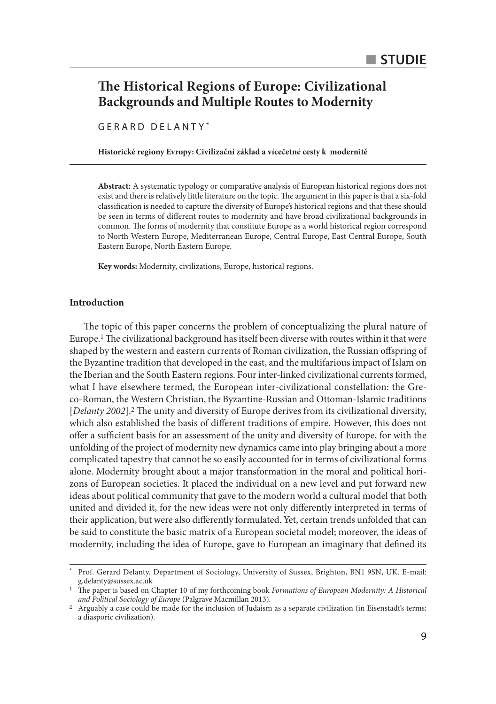## **he Historical Regions of Europe: Civilizational Backgrounds and Multiple Routes to Modernity**

GERARD DELANTY \*

**Historické regiony Evropy: Civilizační základ a vícečetné cesty k modernitě**

**Abstract:** A systematic typology or comparative analysis of European historical regions does not exist and there is relatively little literature on the topic. The argument in this paper is that a six-fold classiication is needed to capture the diversity of Europe's historical regions and that these should be seen in terms of diferent routes to modernity and have broad civilizational backgrounds in common. he forms of modernity that constitute Europe as a world historical region correspond to North Western Europe, Mediterranean Europe, Central Europe, East Central Europe, South Eastern Europe, North Eastern Europe.

**Key words:** Modernity, civilizations, Europe, historical regions.

#### **Introduction**

The topic of this paper concerns the problem of conceptualizing the plural nature of Europe.<sup>1</sup> The civilizational background has itself been diverse with routes within it that were shaped by the western and eastern currents of Roman civilization, the Russian ofspring of the Byzantine tradition that developed in the east, and the multifarious impact of Islam on the Iberian and the South Eastern regions. Four inter-linked civilizational currents formed, what I have elsewhere termed, the European inter-civilizational constellation: the Greco-Roman, the Western Christian, the Byzantine-Russian and Ottoman-Islamic traditions [Delanty 2002].<sup>2</sup> The unity and diversity of Europe derives from its civilizational diversity, which also established the basis of diferent traditions of empire. However, this does not offer a sufficient basis for an assessment of the unity and diversity of Europe, for with the unfolding of the project of modernity new dynamics came into play bringing about a more complicated tapestry that cannot be so easily accounted for in terms of civilizational forms alone. Modernity brought about a major transformation in the moral and political horizons of European societies. It placed the individual on a new level and put forward new ideas about political community that gave to the modern world a cultural model that both united and divided it, for the new ideas were not only diferently interpreted in terms of their application, but were also diferently formulated. Yet, certain trends unfolded that can be said to constitute the basic matrix of a European societal model; moreover, the ideas of modernity, including the idea of Europe, gave to European an imaginary that defined its

<sup>\*</sup> Prof. Gerard Delanty. Department of Sociology, University of Sussex, Brighton, BN1 9SN, UK. E-mail: g.delanty@sussex.ac.uk

<sup>&</sup>lt;sup>1</sup> The paper is based on Chapter 10 of my forthcoming book Formations of European Modernity: A Historical and Political Sociology of Europe (Palgrave Macmillan 2013).

<sup>&</sup>lt;sup>2</sup> Arguably a case could be made for the inclusion of Judaism as a separate civilization (in Eisenstadt's terms: a diasporic civilization).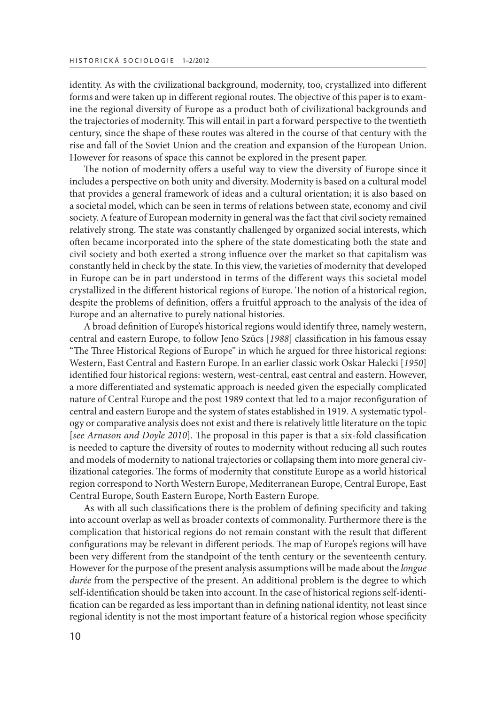identity. As with the civilizational background, modernity, too, crystallized into diferent forms and were taken up in different regional routes. The objective of this paper is to examine the regional diversity of Europe as a product both of civilizational backgrounds and the trajectories of modernity. This will entail in part a forward perspective to the twentieth century, since the shape of these routes was altered in the course of that century with the rise and fall of the Soviet Union and the creation and expansion of the European Union. However for reasons of space this cannot be explored in the present paper.

The notion of modernity offers a useful way to view the diversity of Europe since it includes a perspective on both unity and diversity. Modernity is based on a cultural model that provides a general framework of ideas and a cultural orientation; it is also based on a societal model, which can be seen in terms of relations between state, economy and civil society. A feature of European modernity in general was the fact that civil society remained relatively strong. The state was constantly challenged by organized social interests, which oten became incorporated into the sphere of the state domesticating both the state and civil society and both exerted a strong inluence over the market so that capitalism was constantly held in check by the state. In this view, the varieties of modernity that developed in Europe can be in part understood in terms of the diferent ways this societal model crystallized in the different historical regions of Europe. The notion of a historical region, despite the problems of definition, offers a fruitful approach to the analysis of the idea of Europe and an alternative to purely national histories.

A broad definition of Europe's historical regions would identify three, namely western, central and eastern Europe, to follow Jeno Szücs [1988] classiication in his famous essay "The Three Historical Regions of Europe" in which he argued for three historical regions: Western, East Central and Eastern Europe. In an earlier classic work Oskar Halecki [1950] identified four historical regions: western, west-central, east central and eastern. However, a more diferentiated and systematic approach is needed given the especially complicated nature of Central Europe and the post 1989 context that led to a major reconiguration of central and eastern Europe and the system of states established in 1919. A systematic typology or comparative analysis does not exist and there is relatively little literature on the topic [see Arnason and Doyle 2010]. The proposal in this paper is that a six-fold classification is needed to capture the diversity of routes to modernity without reducing all such routes and models of modernity to national trajectories or collapsing them into more general civilizational categories. The forms of modernity that constitute Europe as a world historical region correspond to North Western Europe, Mediterranean Europe, Central Europe, East Central Europe, South Eastern Europe, North Eastern Europe.

As with all such classifications there is the problem of defining specificity and taking into account overlap as well as broader contexts of commonality. Furthermore there is the complication that historical regions do not remain constant with the result that diferent configurations may be relevant in different periods. The map of Europe's regions will have been very diferent from the standpoint of the tenth century or the seventeenth century. However for the purpose of the present analysis assumptions will be made about the longue durée from the perspective of the present. An additional problem is the degree to which self-identification should be taken into account. In the case of historical regions self-identification can be regarded as less important than in defining national identity, not least since regional identity is not the most important feature of a historical region whose specificity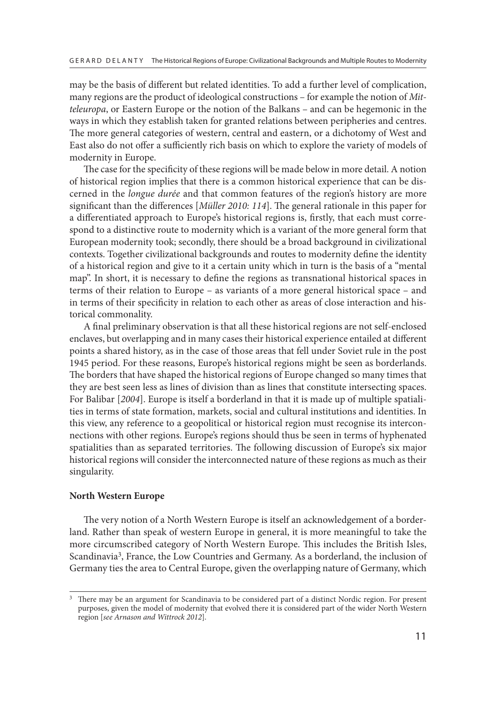may be the basis of diferent but related identities. To add a further level of complication, many regions are the product of ideological constructions – for example the notion of Mitteleuropa, or Eastern Europe or the notion of the Balkans – and can be hegemonic in the ways in which they establish taken for granted relations between peripheries and centres. The more general categories of western, central and eastern, or a dichotomy of West and East also do not offer a sufficiently rich basis on which to explore the variety of models of modernity in Europe.

The case for the specificity of these regions will be made below in more detail. A notion of historical region implies that there is a common historical experience that can be discerned in the longue durée and that common features of the region's history are more significant than the differences  $[Müller 2010: 114]$ . The general rationale in this paper for a diferentiated approach to Europe's historical regions is, irstly, that each must correspond to a distinctive route to modernity which is a variant of the more general form that European modernity took; secondly, there should be a broad background in civilizational contexts. Together civilizational backgrounds and routes to modernity deine the identity of a historical region and give to it a certain unity which in turn is the basis of a "mental map". In short, it is necessary to deine the regions as transnational historical spaces in terms of their relation to Europe – as variants of a more general historical space – and in terms of their specificity in relation to each other as areas of close interaction and historical commonality.

A inal preliminary observation is that all these historical regions are not self-enclosed enclaves, but overlapping and in many cases their historical experience entailed at diferent points a shared history, as in the case of those areas that fell under Soviet rule in the post 1945 period. For these reasons, Europe's historical regions might be seen as borderlands. The borders that have shaped the historical regions of Europe changed so many times that they are best seen less as lines of division than as lines that constitute intersecting spaces. For Balibar [2004]. Europe is itself a borderland in that it is made up of multiple spatialities in terms of state formation, markets, social and cultural institutions and identities. In this view, any reference to a geopolitical or historical region must recognise its interconnections with other regions. Europe's regions should thus be seen in terms of hyphenated spatialities than as separated territories. The following discussion of Europe's six major historical regions will consider the interconnected nature of these regions as much as their singularity.

#### **North Western Europe**

The very notion of a North Western Europe is itself an acknowledgement of a borderland. Rather than speak of western Europe in general, it is more meaningful to take the more circumscribed category of North Western Europe. This includes the British Isles, Scandinavia<sup>3</sup>, France, the Low Countries and Germany. As a borderland, the inclusion of Germany ties the area to Central Europe, given the overlapping nature of Germany, which

<sup>&</sup>lt;sup>3</sup> There may be an argument for Scandinavia to be considered part of a distinct Nordic region. For present purposes, given the model of modernity that evolved there it is considered part of the wider North Western region [see Arnason and Wittrock 2012].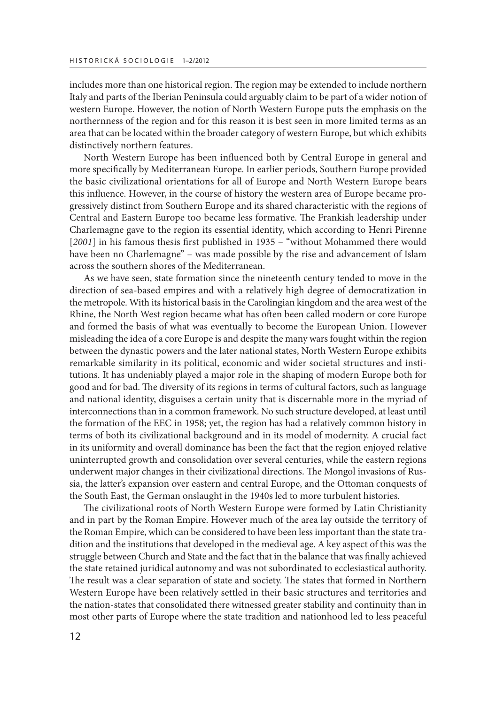includes more than one historical region. The region may be extended to include northern Italy and parts of the Iberian Peninsula could arguably claim to be part of a wider notion of western Europe. However, the notion of North Western Europe puts the emphasis on the northernness of the region and for this reason it is best seen in more limited terms as an area that can be located within the broader category of western Europe, but which exhibits distinctively northern features.

North Western Europe has been inluenced both by Central Europe in general and more speciically by Mediterranean Europe. In earlier periods, Southern Europe provided the basic civilizational orientations for all of Europe and North Western Europe bears this inluence. However, in the course of history the western area of Europe became progressively distinct from Southern Europe and its shared characteristic with the regions of Central and Eastern Europe too became less formative. The Frankish leadership under Charlemagne gave to the region its essential identity, which according to Henri Pirenne [2001] in his famous thesis first published in 1935 - "without Mohammed there would have been no Charlemagne" – was made possible by the rise and advancement of Islam across the southern shores of the Mediterranean.

As we have seen, state formation since the nineteenth century tended to move in the direction of sea-based empires and with a relatively high degree of democratization in the metropole. With its historical basis in the Carolingian kingdom and the area west of the Rhine, the North West region became what has oten been called modern or core Europe and formed the basis of what was eventually to become the European Union. However misleading the idea of a core Europe is and despite the many wars fought within the region between the dynastic powers and the later national states, North Western Europe exhibits remarkable similarity in its political, economic and wider societal structures and institutions. It has undeniably played a major role in the shaping of modern Europe both for good and for bad. The diversity of its regions in terms of cultural factors, such as language and national identity, disguises a certain unity that is discernable more in the myriad of interconnections than in a common framework. No such structure developed, at least until the formation of the EEC in 1958; yet, the region has had a relatively common history in terms of both its civilizational background and in its model of modernity. A crucial fact in its uniformity and overall dominance has been the fact that the region enjoyed relative uninterrupted growth and consolidation over several centuries, while the eastern regions underwent major changes in their civilizational directions. The Mongol invasions of Russia, the latter's expansion over eastern and central Europe, and the Ottoman conquests of the South East, the German onslaught in the 1940s led to more turbulent histories.

he civilizational roots of North Western Europe were formed by Latin Christianity and in part by the Roman Empire. However much of the area lay outside the territory of the Roman Empire, which can be considered to have been less important than the state tradition and the institutions that developed in the medieval age. A key aspect of this was the struggle between Church and State and the fact that in the balance that was inally achieved the state retained juridical autonomy and was not subordinated to ecclesiastical authority. The result was a clear separation of state and society. The states that formed in Northern Western Europe have been relatively settled in their basic structures and territories and the nation-states that consolidated there witnessed greater stability and continuity than in most other parts of Europe where the state tradition and nationhood led to less peaceful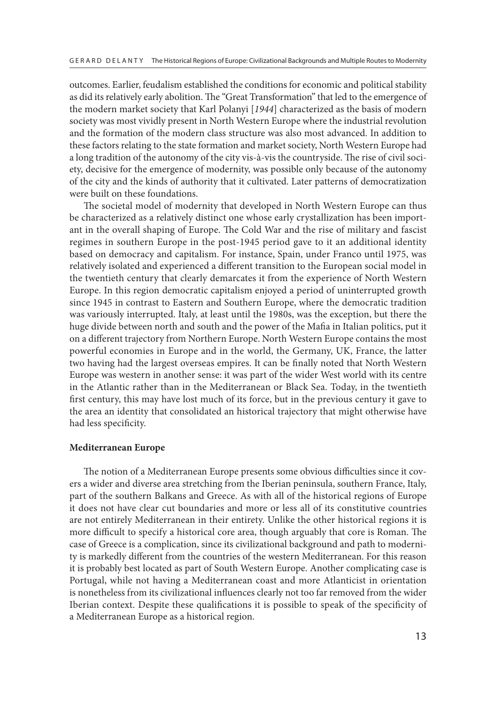outcomes. Earlier, feudalism established the conditions for economic and political stability as did its relatively early abolition. The "Great Transformation" that led to the emergence of the modern market society that Karl Polanyi [1944] characterized as the basis of modern society was most vividly present in North Western Europe where the industrial revolution and the formation of the modern class structure was also most advanced. In addition to these factors relating to the state formation and market society, North Western Europe had a long tradition of the autonomy of the city vis-à-vis the countryside. The rise of civil society, decisive for the emergence of modernity, was possible only because of the autonomy of the city and the kinds of authority that it cultivated. Later patterns of democratization were built on these foundations.

The societal model of modernity that developed in North Western Europe can thus be characterized as a relatively distinct one whose early crystallization has been important in the overall shaping of Europe. The Cold War and the rise of military and fascist regimes in southern Europe in the post-1945 period gave to it an additional identity based on democracy and capitalism. For instance, Spain, under Franco until 1975, was relatively isolated and experienced a diferent transition to the European social model in the twentieth century that clearly demarcates it from the experience of North Western Europe. In this region democratic capitalism enjoyed a period of uninterrupted growth since 1945 in contrast to Eastern and Southern Europe, where the democratic tradition was variously interrupted. Italy, at least until the 1980s, was the exception, but there the huge divide between north and south and the power of the Mafia in Italian politics, put it on a diferent trajectory from Northern Europe. North Western Europe contains the most powerful economies in Europe and in the world, the Germany, UK, France, the latter two having had the largest overseas empires. It can be inally noted that North Western Europe was western in another sense: it was part of the wider West world with its centre in the Atlantic rather than in the Mediterranean or Black Sea. Today, in the twentieth first century, this may have lost much of its force, but in the previous century it gave to the area an identity that consolidated an historical trajectory that might otherwise have had less specificity.

#### **Mediterranean Europe**

The notion of a Mediterranean Europe presents some obvious difficulties since it covers a wider and diverse area stretching from the Iberian peninsula, southern France, Italy, part of the southern Balkans and Greece. As with all of the historical regions of Europe it does not have clear cut boundaries and more or less all of its constitutive countries are not entirely Mediterranean in their entirety. Unlike the other historical regions it is more difficult to specify a historical core area, though arguably that core is Roman. The case of Greece is a complication, since its civilizational background and path to modernity is markedly diferent from the countries of the western Mediterranean. For this reason it is probably best located as part of South Western Europe. Another complicating case is Portugal, while not having a Mediterranean coast and more Atlanticist in orientation is nonetheless from its civilizational inluences clearly not too far removed from the wider Iberian context. Despite these qualifications it is possible to speak of the specificity of a Mediterranean Europe as a historical region.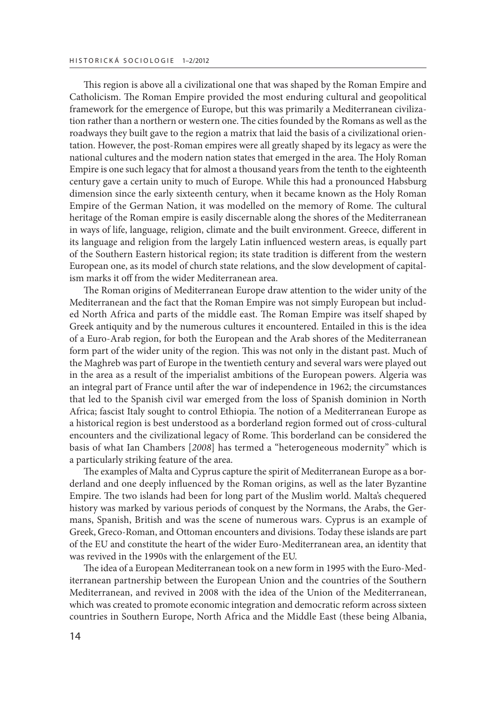his region is above all a civilizational one that was shaped by the Roman Empire and Catholicism. The Roman Empire provided the most enduring cultural and geopolitical framework for the emergence of Europe, but this was primarily a Mediterranean civilization rather than a northern or western one. The cities founded by the Romans as well as the roadways they built gave to the region a matrix that laid the basis of a civilizational orientation. However, the post-Roman empires were all greatly shaped by its legacy as were the national cultures and the modern nation states that emerged in the area. The Holy Roman Empire is one such legacy that for almost a thousand years from the tenth to the eighteenth century gave a certain unity to much of Europe. While this had a pronounced Habsburg dimension since the early sixteenth century, when it became known as the Holy Roman Empire of the German Nation, it was modelled on the memory of Rome. The cultural heritage of the Roman empire is easily discernable along the shores of the Mediterranean in ways of life, language, religion, climate and the built environment. Greece, diferent in its language and religion from the largely Latin inluenced western areas, is equally part of the Southern Eastern historical region; its state tradition is diferent from the western European one, as its model of church state relations, and the slow development of capitalism marks it off from the wider Mediterranean area.

he Roman origins of Mediterranean Europe draw attention to the wider unity of the Mediterranean and the fact that the Roman Empire was not simply European but included North Africa and parts of the middle east. The Roman Empire was itself shaped by Greek antiquity and by the numerous cultures it encountered. Entailed in this is the idea of a Euro-Arab region, for both the European and the Arab shores of the Mediterranean form part of the wider unity of the region. This was not only in the distant past. Much of the Maghreb was part of Europe in the twentieth century and several wars were played out in the area as a result of the imperialist ambitions of the European powers. Algeria was an integral part of France until ater the war of independence in 1962; the circumstances that led to the Spanish civil war emerged from the loss of Spanish dominion in North Africa; fascist Italy sought to control Ethiopia. The notion of a Mediterranean Europe as a historical region is best understood as a borderland region formed out of cross-cultural encounters and the civilizational legacy of Rome. This borderland can be considered the basis of what Ian Chambers [2008] has termed a "heterogeneous modernity" which is a particularly striking feature of the area.

he examples of Malta and Cyprus capture the spirit of Mediterranean Europe as a borderland and one deeply inluenced by the Roman origins, as well as the later Byzantine Empire. The two islands had been for long part of the Muslim world. Malta's chequered history was marked by various periods of conquest by the Normans, the Arabs, the Germans, Spanish, British and was the scene of numerous wars. Cyprus is an example of Greek, Greco-Roman, and Ottoman encounters and divisions. Today these islands are part of the EU and constitute the heart of the wider Euro-Mediterranean area, an identity that was revived in the 1990s with the enlargement of the EU.

he idea of a European Mediterranean took on a new form in 1995 with the Euro-Mediterranean partnership between the European Union and the countries of the Southern Mediterranean, and revived in 2008 with the idea of the Union of the Mediterranean, which was created to promote economic integration and democratic reform across sixteen countries in Southern Europe, North Africa and the Middle East (these being Albania,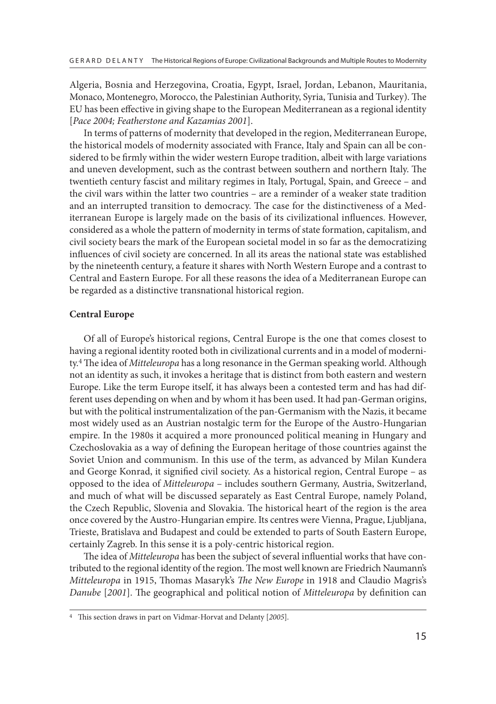Algeria, Bosnia and Herzegovina, Croatia, Egypt, Israel, Jordan, Lebanon, Mauritania, Monaco, Montenegro, Morocco, the Palestinian Authority, Syria, Tunisia and Turkey). The EU has been efective in giving shape to the European Mediterranean as a regional identity [Pace 2004; Featherstone and Kazamias 2001].

In terms of patterns of modernity that developed in the region, Mediterranean Europe, the historical models of modernity associated with France, Italy and Spain can all be considered to be irmly within the wider western Europe tradition, albeit with large variations and uneven development, such as the contrast between southern and northern Italy. The twentieth century fascist and military regimes in Italy, Portugal, Spain, and Greece – and the civil wars within the latter two countries – are a reminder of a weaker state tradition and an interrupted transition to democracy. The case for the distinctiveness of a Mediterranean Europe is largely made on the basis of its civilizational inluences. However, considered as a whole the pattern of modernity in terms of state formation, capitalism, and civil society bears the mark of the European societal model in so far as the democratizing inluences of civil society are concerned. In all its areas the national state was established by the nineteenth century, a feature it shares with North Western Europe and a contrast to Central and Eastern Europe. For all these reasons the idea of a Mediterranean Europe can be regarded as a distinctive transnational historical region.

#### **Central Europe**

Of all of Europe's historical regions, Central Europe is the one that comes closest to having a regional identity rooted both in civilizational currents and in a model of modernity.<sup>4</sup> The idea of Mitteleuropa has a long resonance in the German speaking world. Although not an identity as such, it invokes a heritage that is distinct from both eastern and western Europe. Like the term Europe itself, it has always been a contested term and has had different uses depending on when and by whom it has been used. It had pan-German origins, but with the political instrumentalization of the pan-Germanism with the Nazis, it became most widely used as an Austrian nostalgic term for the Europe of the Austro-Hungarian empire. In the 1980s it acquired a more pronounced political meaning in Hungary and Czechoslovakia as a way of deining the European heritage of those countries against the Soviet Union and communism. In this use of the term, as advanced by Milan Kundera and George Konrad, it signified civil society. As a historical region, Central Europe - as opposed to the idea of Mitteleuropa – includes southern Germany, Austria, Switzerland, and much of what will be discussed separately as East Central Europe, namely Poland, the Czech Republic, Slovenia and Slovakia. he historical heart of the region is the area once covered by the Austro-Hungarian empire. Its centres were Vienna, Prague, Ljubljana, Trieste, Bratislava and Budapest and could be extended to parts of South Eastern Europe, certainly Zagreb. In this sense it is a poly-centric historical region.

The idea of *Mitteleuropa* has been the subject of several influential works that have contributed to the regional identity of the region. The most well known are Friedrich Naumann's Mitteleuropa in 1915, Thomas Masaryk's The New Europe in 1918 and Claudio Magris's Danube [2001]. The geographical and political notion of Mitteleuropa by definition can

<sup>&</sup>lt;sup>4</sup> This section draws in part on Vidmar-Horvat and Delanty [2005].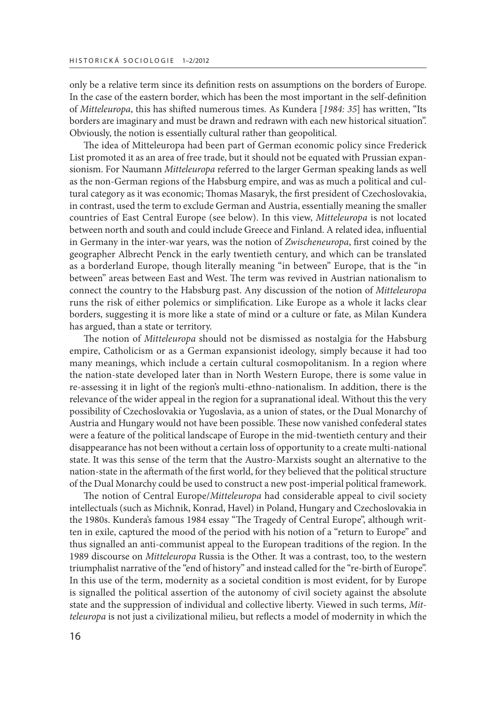only be a relative term since its deinition rests on assumptions on the borders of Europe. In the case of the eastern border, which has been the most important in the self-deinition of Mitteleuropa, this has shited numerous times. As Kundera [1984: 35] has written, "Its borders are imaginary and must be drawn and redrawn with each new historical situation". Obviously, the notion is essentially cultural rather than geopolitical.

The idea of Mitteleuropa had been part of German economic policy since Frederick List promoted it as an area of free trade, but it should not be equated with Prussian expansionism. For Naumann Mitteleuropa referred to the larger German speaking lands as well as the non-German regions of the Habsburg empire, and was as much a political and cultural category as it was economic; Thomas Masaryk, the first president of Czechoslovakia, in contrast, used the term to exclude German and Austria, essentially meaning the smaller countries of East Central Europe (see below). In this view, Mitteleuropa is not located between north and south and could include Greece and Finland. A related idea, inluential in Germany in the inter-war years, was the notion of Zwischeneuropa, first coined by the geographer Albrecht Penck in the early twentieth century, and which can be translated as a borderland Europe, though literally meaning "in between" Europe, that is the "in between" areas between East and West. The term was revived in Austrian nationalism to connect the country to the Habsburg past. Any discussion of the notion of Mitteleuropa runs the risk of either polemics or simpliication. Like Europe as a whole it lacks clear borders, suggesting it is more like a state of mind or a culture or fate, as Milan Kundera has argued, than a state or territory.

The notion of Mitteleuropa should not be dismissed as nostalgia for the Habsburg empire, Catholicism or as a German expansionist ideology, simply because it had too many meanings, which include a certain cultural cosmopolitanism. In a region where the nation-state developed later than in North Western Europe, there is some value in re-assessing it in light of the region's multi-ethno-nationalism. In addition, there is the relevance of the wider appeal in the region for a supranational ideal. Without this the very possibility of Czechoslovakia or Yugoslavia, as a union of states, or the Dual Monarchy of Austria and Hungary would not have been possible. These now vanished confederal states were a feature of the political landscape of Europe in the mid-twentieth century and their disappearance has not been without a certain loss of opportunity to a create multi-national state. It was this sense of the term that the Austro-Marxists sought an alternative to the nation-state in the aftermath of the first world, for they believed that the political structure of the Dual Monarchy could be used to construct a new post-imperial political framework.

The notion of Central Europe/Mitteleuropa had considerable appeal to civil society intellectuals (such as Michnik, Konrad, Havel) in Poland, Hungary and Czechoslovakia in the 1980s. Kundera's famous 1984 essay "The Tragedy of Central Europe", although written in exile, captured the mood of the period with his notion of a "return to Europe" and thus signalled an anti-communist appeal to the European traditions of the region. In the 1989 discourse on Mitteleuropa Russia is the Other. It was a contrast, too, to the western triumphalist narrative of the "end of history" and instead called for the "re-birth of Europe". In this use of the term, modernity as a societal condition is most evident, for by Europe is signalled the political assertion of the autonomy of civil society against the absolute state and the suppression of individual and collective liberty. Viewed in such terms, Mitteleuropa is not just a civilizational milieu, but relects a model of modernity in which the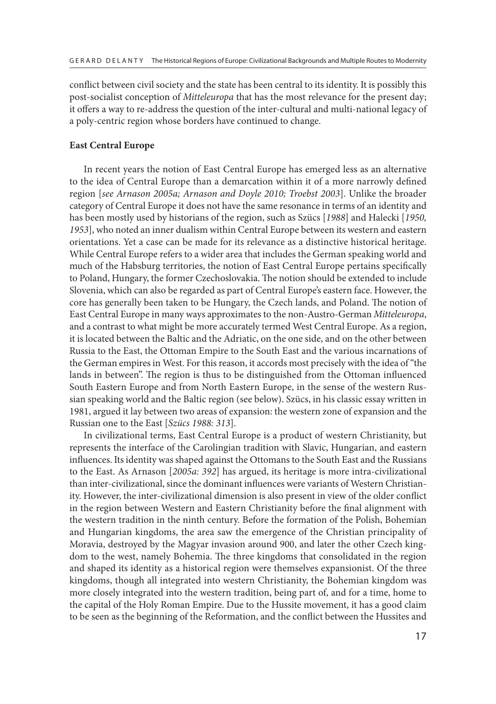conlict between civil society and the state has been central to its identity. It is possibly this post-socialist conception of Mitteleuropa that has the most relevance for the present day; it ofers a way to re-address the question of the inter-cultural and multi-national legacy of a poly-centric region whose borders have continued to change.

#### **East Central Europe**

In recent years the notion of East Central Europe has emerged less as an alternative to the idea of Central Europe than a demarcation within it of a more narrowly deined region [see Arnason 2005a; Arnason and Doyle 2010; Troebst 2003]. Unlike the broader category of Central Europe it does not have the same resonance in terms of an identity and has been mostly used by historians of the region, such as Szücs [1988] and Halecki [1950, 1953], who noted an inner dualism within Central Europe between its western and eastern orientations. Yet a case can be made for its relevance as a distinctive historical heritage. While Central Europe refers to a wider area that includes the German speaking world and much of the Habsburg territories, the notion of East Central Europe pertains specifically to Poland, Hungary, the former Czechoslovakia. The notion should be extended to include Slovenia, which can also be regarded as part of Central Europe's eastern face. However, the core has generally been taken to be Hungary, the Czech lands, and Poland. The notion of East Central Europe in many ways approximates to the non-Austro-German Mitteleuropa, and a contrast to what might be more accurately termed West Central Europe. As a region, it is located between the Baltic and the Adriatic, on the one side, and on the other between Russia to the East, the Ottoman Empire to the South East and the various incarnations of the German empires in West. For this reason, it accords most precisely with the idea of "the lands in between". The region is thus to be distinguished from the Ottoman influenced South Eastern Europe and from North Eastern Europe, in the sense of the western Russian speaking world and the Baltic region (see below). Szücs, in his classic essay written in 1981, argued it lay between two areas of expansion: the western zone of expansion and the Russian one to the East [Szücs 1988: 313].

In civilizational terms, East Central Europe is a product of western Christianity, but represents the interface of the Carolingian tradition with Slavic, Hungarian, and eastern influences. Its identity was shaped against the Ottomans to the South East and the Russians to the East. As Arnason [2005a: 392] has argued, its heritage is more intra-civilizational than inter-civilizational, since the dominant inluences were variants of Western Christianity. However, the inter-civilizational dimension is also present in view of the older conlict in the region between Western and Eastern Christianity before the final alignment with the western tradition in the ninth century. Before the formation of the Polish, Bohemian and Hungarian kingdoms, the area saw the emergence of the Christian principality of Moravia, destroyed by the Magyar invasion around 900, and later the other Czech kingdom to the west, namely Bohemia. The three kingdoms that consolidated in the region and shaped its identity as a historical region were themselves expansionist. Of the three kingdoms, though all integrated into western Christianity, the Bohemian kingdom was more closely integrated into the western tradition, being part of, and for a time, home to the capital of the Holy Roman Empire. Due to the Hussite movement, it has a good claim to be seen as the beginning of the Reformation, and the conlict between the Hussites and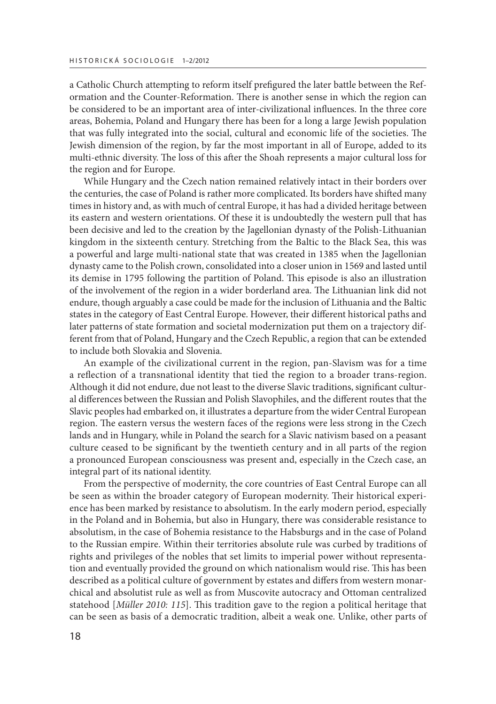a Catholic Church attempting to reform itself preigured the later battle between the Reformation and the Counter-Reformation. here is another sense in which the region can be considered to be an important area of inter-civilizational inluences. In the three core areas, Bohemia, Poland and Hungary there has been for a long a large Jewish population that was fully integrated into the social, cultural and economic life of the societies. The Jewish dimension of the region, by far the most important in all of Europe, added to its multi-ethnic diversity. The loss of this after the Shoah represents a major cultural loss for the region and for Europe.

While Hungary and the Czech nation remained relatively intact in their borders over the centuries, the case of Poland is rather more complicated. Its borders have shited many times in history and, as with much of central Europe, it has had a divided heritage between its eastern and western orientations. Of these it is undoubtedly the western pull that has been decisive and led to the creation by the Jagellonian dynasty of the Polish-Lithuanian kingdom in the sixteenth century. Stretching from the Baltic to the Black Sea, this was a powerful and large multi-national state that was created in 1385 when the Jagellonian dynasty came to the Polish crown, consolidated into a closer union in 1569 and lasted until its demise in 1795 following the partition of Poland. This episode is also an illustration of the involvement of the region in a wider borderland area. The Lithuanian link did not endure, though arguably a case could be made for the inclusion of Lithuania and the Baltic states in the category of East Central Europe. However, their diferent historical paths and later patterns of state formation and societal modernization put them on a trajectory different from that of Poland, Hungary and the Czech Republic, a region that can be extended to include both Slovakia and Slovenia.

An example of the civilizational current in the region, pan-Slavism was for a time a relection of a transnational identity that tied the region to a broader trans-region. Although it did not endure, due not least to the diverse Slavic traditions, significant cultural diferences between the Russian and Polish Slavophiles, and the diferent routes that the Slavic peoples had embarked on, it illustrates a departure from the wider Central European region. The eastern versus the western faces of the regions were less strong in the Czech lands and in Hungary, while in Poland the search for a Slavic nativism based on a peasant culture ceased to be signiicant by the twentieth century and in all parts of the region a pronounced European consciousness was present and, especially in the Czech case, an integral part of its national identity.

From the perspective of modernity, the core countries of East Central Europe can all be seen as within the broader category of European modernity. Their historical experience has been marked by resistance to absolutism. In the early modern period, especially in the Poland and in Bohemia, but also in Hungary, there was considerable resistance to absolutism, in the case of Bohemia resistance to the Habsburgs and in the case of Poland to the Russian empire. Within their territories absolute rule was curbed by traditions of rights and privileges of the nobles that set limits to imperial power without representation and eventually provided the ground on which nationalism would rise. This has been described as a political culture of government by estates and difers from western monarchical and absolutist rule as well as from Muscovite autocracy and Ottoman centralized statehood [Müller 2010: 115]. This tradition gave to the region a political heritage that can be seen as basis of a democratic tradition, albeit a weak one. Unlike, other parts of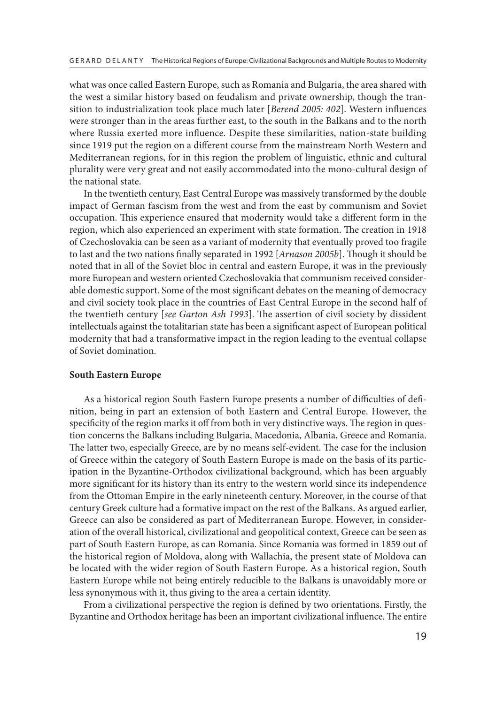what was once called Eastern Europe, such as Romania and Bulgaria, the area shared with the west a similar history based on feudalism and private ownership, though the transition to industrialization took place much later [Berend 2005: 402]. Western inluences were stronger than in the areas further east, to the south in the Balkans and to the north where Russia exerted more inluence. Despite these similarities, nation-state building since 1919 put the region on a diferent course from the mainstream North Western and Mediterranean regions, for in this region the problem of linguistic, ethnic and cultural plurality were very great and not easily accommodated into the mono-cultural design of the national state.

In the twentieth century, East Central Europe was massively transformed by the double impact of German fascism from the west and from the east by communism and Soviet occupation. his experience ensured that modernity would take a diferent form in the region, which also experienced an experiment with state formation. The creation in 1918 of Czechoslovakia can be seen as a variant of modernity that eventually proved too fragile to last and the two nations finally separated in 1992 [Arnason 2005b]. Though it should be noted that in all of the Soviet bloc in central and eastern Europe, it was in the previously more European and western oriented Czechoslovakia that communism received considerable domestic support. Some of the most signiicant debates on the meaning of democracy and civil society took place in the countries of East Central Europe in the second half of the twentieth century [see Garton Ash 1993]. The assertion of civil society by dissident intellectuals against the totalitarian state has been a signiicant aspect of European political modernity that had a transformative impact in the region leading to the eventual collapse of Soviet domination.

#### **South Eastern Europe**

As a historical region South Eastern Europe presents a number of difficulties of definition, being in part an extension of both Eastern and Central Europe. However, the specificity of the region marks it off from both in very distinctive ways. The region in question concerns the Balkans including Bulgaria, Macedonia, Albania, Greece and Romania. The latter two, especially Greece, are by no means self-evident. The case for the inclusion of Greece within the category of South Eastern Europe is made on the basis of its participation in the Byzantine-Orthodox civilizational background, which has been arguably more significant for its history than its entry to the western world since its independence from the Ottoman Empire in the early nineteenth century. Moreover, in the course of that century Greek culture had a formative impact on the rest of the Balkans. As argued earlier, Greece can also be considered as part of Mediterranean Europe. However, in consideration of the overall historical, civilizational and geopolitical context, Greece can be seen as part of South Eastern Europe, as can Romania. Since Romania was formed in 1859 out of the historical region of Moldova, along with Wallachia, the present state of Moldova can be located with the wider region of South Eastern Europe. As a historical region, South Eastern Europe while not being entirely reducible to the Balkans is unavoidably more or less synonymous with it, thus giving to the area a certain identity.

From a civilizational perspective the region is defined by two orientations. Firstly, the Byzantine and Orthodox heritage has been an important civilizational inluence. he entire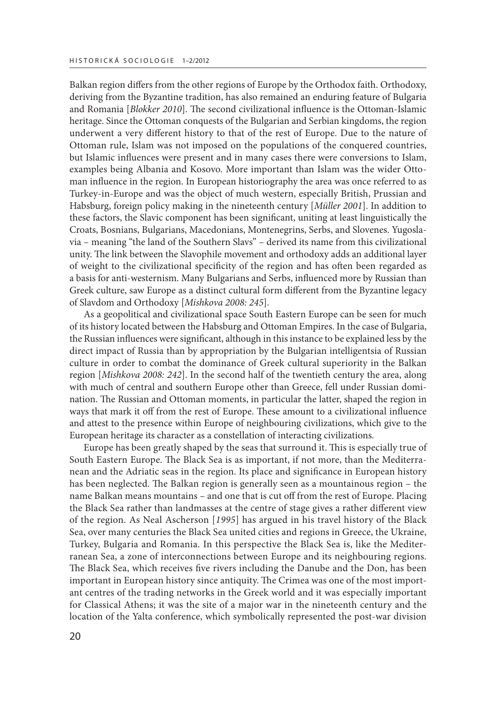Balkan region difers from the other regions of Europe by the Orthodox faith. Orthodoxy, deriving from the Byzantine tradition, has also remained an enduring feature of Bulgaria and Romania [Blokker 2010]. The second civilizational influence is the Ottoman-Islamic heritage. Since the Ottoman conquests of the Bulgarian and Serbian kingdoms, the region underwent a very diferent history to that of the rest of Europe. Due to the nature of Ottoman rule, Islam was not imposed on the populations of the conquered countries, but Islamic inluences were present and in many cases there were conversions to Islam, examples being Albania and Kosovo. More important than Islam was the wider Ottoman inluence in the region. In European historiography the area was once referred to as Turkey-in-Europe and was the object of much western, especially British, Prussian and Habsburg, foreign policy making in the nineteenth century [Müller 2001]. In addition to these factors, the Slavic component has been signiicant, uniting at least linguistically the Croats, Bosnians, Bulgarians, Macedonians, Montenegrins, Serbs, and Slovenes. Yugoslavia – meaning "the land of the Southern Slavs" – derived its name from this civilizational unity. he link between the Slavophile movement and orthodoxy adds an additional layer of weight to the civilizational specificity of the region and has often been regarded as a basis for anti-westernism. Many Bulgarians and Serbs, inluenced more by Russian than Greek culture, saw Europe as a distinct cultural form diferent from the Byzantine legacy of Slavdom and Orthodoxy [Mishkova 2008: 245].

As a geopolitical and civilizational space South Eastern Europe can be seen for much of its history located between the Habsburg and Ottoman Empires. In the case of Bulgaria, the Russian inluences were signiicant, although in this instance to be explained less by the direct impact of Russia than by appropriation by the Bulgarian intelligentsia of Russian culture in order to combat the dominance of Greek cultural superiority in the Balkan region [Mishkova 2008: 242]. In the second half of the twentieth century the area, along with much of central and southern Europe other than Greece, fell under Russian domination. The Russian and Ottoman moments, in particular the latter, shaped the region in ways that mark it off from the rest of Europe. These amount to a civilizational influence and attest to the presence within Europe of neighbouring civilizations, which give to the European heritage its character as a constellation of interacting civilizations.

Europe has been greatly shaped by the seas that surround it. This is especially true of South Eastern Europe. The Black Sea is as important, if not more, than the Mediterranean and the Adriatic seas in the region. Its place and significance in European history has been neglected. The Balkan region is generally seen as a mountainous region – the name Balkan means mountains – and one that is cut of from the rest of Europe. Placing the Black Sea rather than landmasses at the centre of stage gives a rather diferent view of the region. As Neal Ascherson [1995] has argued in his travel history of the Black Sea, over many centuries the Black Sea united cities and regions in Greece, the Ukraine, Turkey, Bulgaria and Romania. In this perspective the Black Sea is, like the Mediterranean Sea, a zone of interconnections between Europe and its neighbouring regions. The Black Sea, which receives five rivers including the Danube and the Don, has been important in European history since antiquity. he Crimea was one of the most important centres of the trading networks in the Greek world and it was especially important for Classical Athens; it was the site of a major war in the nineteenth century and the location of the Yalta conference, which symbolically represented the post-war division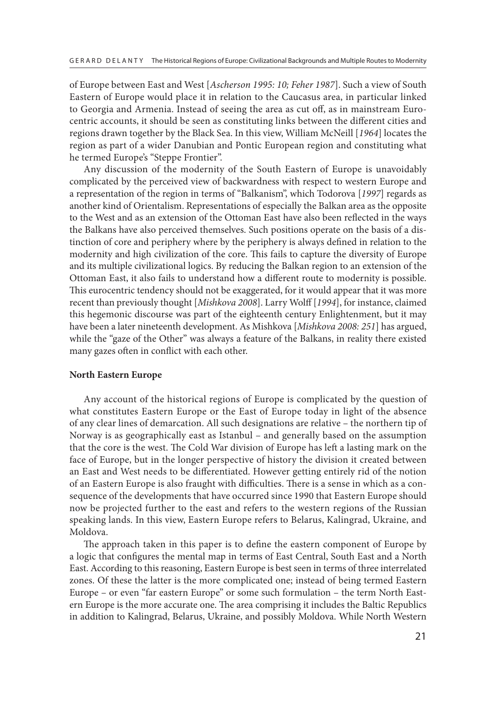of Europe between East and West [Ascherson 1995: 10; Feher 1987]. Such a view of South Eastern of Europe would place it in relation to the Caucasus area, in particular linked to Georgia and Armenia. Instead of seeing the area as cut of, as in mainstream Eurocentric accounts, it should be seen as constituting links between the diferent cities and regions drawn together by the Black Sea. In this view, William McNeill [1964] locates the region as part of a wider Danubian and Pontic European region and constituting what he termed Europe's "Steppe Frontier".

Any discussion of the modernity of the South Eastern of Europe is unavoidably complicated by the perceived view of backwardness with respect to western Europe and a representation of the region in terms of "Balkanism", which Todorova [1997] regards as another kind of Orientalism. Representations of especially the Balkan area as the opposite to the West and as an extension of the Ottoman East have also been relected in the ways the Balkans have also perceived themselves. Such positions operate on the basis of a distinction of core and periphery where by the periphery is always deined in relation to the modernity and high civilization of the core. This fails to capture the diversity of Europe and its multiple civilizational logics. By reducing the Balkan region to an extension of the Ottoman East, it also fails to understand how a diferent route to modernity is possible. his eurocentric tendency should not be exaggerated, for it would appear that it was more recent than previously thought [Mishkova 2008]. Larry Wolf [1994], for instance, claimed this hegemonic discourse was part of the eighteenth century Enlightenment, but it may have been a later nineteenth development. As Mishkova [Mishkova 2008: 251] has argued, while the "gaze of the Other" was always a feature of the Balkans, in reality there existed many gazes often in conflict with each other.

#### **North Eastern Europe**

Any account of the historical regions of Europe is complicated by the question of what constitutes Eastern Europe or the East of Europe today in light of the absence of any clear lines of demarcation. All such designations are relative – the northern tip of Norway is as geographically east as Istanbul – and generally based on the assumption that the core is the west. The Cold War division of Europe has left a lasting mark on the face of Europe, but in the longer perspective of history the division it created between an East and West needs to be diferentiated. However getting entirely rid of the notion of an Eastern Europe is also fraught with difficulties. There is a sense in which as a consequence of the developments that have occurred since 1990 that Eastern Europe should now be projected further to the east and refers to the western regions of the Russian speaking lands. In this view, Eastern Europe refers to Belarus, Kalingrad, Ukraine, and Moldova.

The approach taken in this paper is to define the eastern component of Europe by a logic that conigures the mental map in terms of East Central, South East and a North East. According to this reasoning, Eastern Europe is best seen in terms of three interrelated zones. Of these the latter is the more complicated one; instead of being termed Eastern Europe – or even "far eastern Europe" or some such formulation – the term North Eastern Europe is the more accurate one. The area comprising it includes the Baltic Republics in addition to Kalingrad, Belarus, Ukraine, and possibly Moldova. While North Western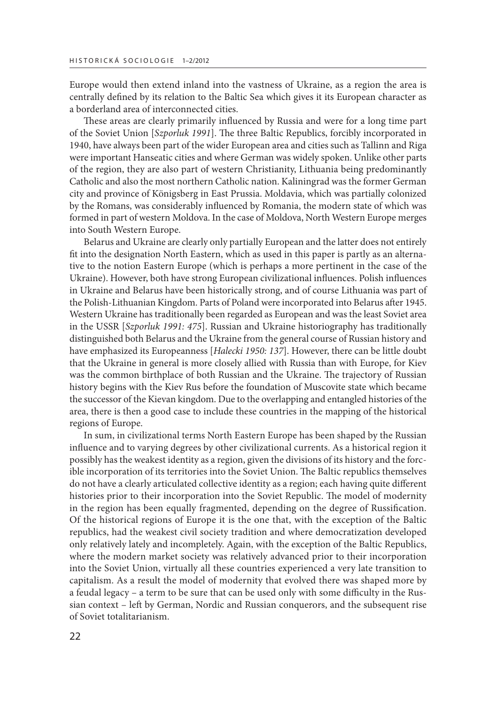Europe would then extend inland into the vastness of Ukraine, as a region the area is centrally deined by its relation to the Baltic Sea which gives it its European character as a borderland area of interconnected cities.

hese areas are clearly primarily inluenced by Russia and were for a long time part of the Soviet Union [Szporluk 1991]. The three Baltic Republics, forcibly incorporated in 1940, have always been part of the wider European area and cities such as Tallinn and Riga were important Hanseatic cities and where German was widely spoken. Unlike other parts of the region, they are also part of western Christianity, Lithuania being predominantly Catholic and also the most northern Catholic nation. Kaliningrad was the former German city and province of Königsberg in East Prussia. Moldavia, which was partially colonized by the Romans, was considerably inluenced by Romania, the modern state of which was formed in part of western Moldova. In the case of Moldova, North Western Europe merges into South Western Europe.

Belarus and Ukraine are clearly only partially European and the latter does not entirely fit into the designation North Eastern, which as used in this paper is partly as an alternative to the notion Eastern Europe (which is perhaps a more pertinent in the case of the Ukraine). However, both have strong European civilizational inluences. Polish inluences in Ukraine and Belarus have been historically strong, and of course Lithuania was part of the Polish-Lithuanian Kingdom. Parts of Poland were incorporated into Belarus ater 1945. Western Ukraine has traditionally been regarded as European and was the least Soviet area in the USSR [Szporluk 1991: 475]. Russian and Ukraine historiography has traditionally distinguished both Belarus and the Ukraine from the general course of Russian history and have emphasized its Europeanness [Halecki 1950: 137]. However, there can be little doubt that the Ukraine in general is more closely allied with Russia than with Europe, for Kiev was the common birthplace of both Russian and the Ukraine. The trajectory of Russian history begins with the Kiev Rus before the foundation of Muscovite state which became the successor of the Kievan kingdom. Due to the overlapping and entangled histories of the area, there is then a good case to include these countries in the mapping of the historical regions of Europe.

In sum, in civilizational terms North Eastern Europe has been shaped by the Russian inluence and to varying degrees by other civilizational currents. As a historical region it possibly has the weakest identity as a region, given the divisions of its history and the forcible incorporation of its territories into the Soviet Union. The Baltic republics themselves do not have a clearly articulated collective identity as a region; each having quite diferent histories prior to their incorporation into the Soviet Republic. The model of modernity in the region has been equally fragmented, depending on the degree of Russification. Of the historical regions of Europe it is the one that, with the exception of the Baltic republics, had the weakest civil society tradition and where democratization developed only relatively lately and incompletely. Again, with the exception of the Baltic Republics, where the modern market society was relatively advanced prior to their incorporation into the Soviet Union, virtually all these countries experienced a very late transition to capitalism. As a result the model of modernity that evolved there was shaped more by a feudal legacy - a term to be sure that can be used only with some difficulty in the Russian context – left by German, Nordic and Russian conquerors, and the subsequent rise of Soviet totalitarianism.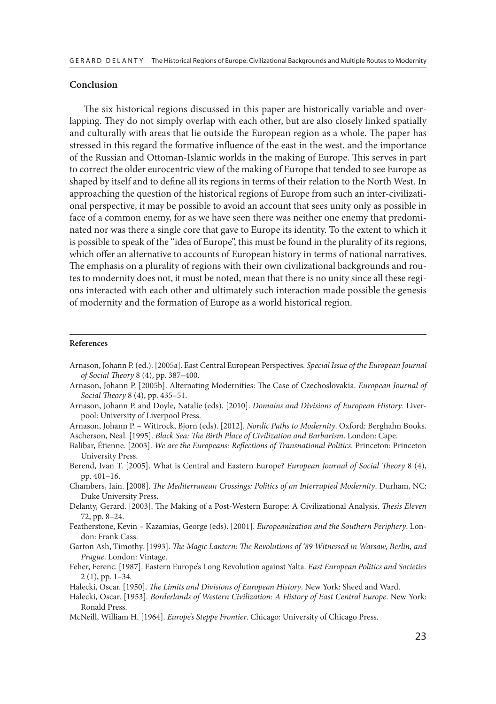#### **Conclusion**

The six historical regions discussed in this paper are historically variable and overlapping. They do not simply overlap with each other, but are also closely linked spatially and culturally with areas that lie outside the European region as a whole. The paper has stressed in this regard the formative inluence of the east in the west, and the importance of the Russian and Ottoman-Islamic worlds in the making of Europe. This serves in part to correct the older eurocentric view of the making of Europe that tended to see Europe as shaped by itself and to deine all its regions in terms of their relation to the North West. In approaching the question of the historical regions of Europe from such an inter-civilizational perspective, it may be possible to avoid an account that sees unity only as possible in face of a common enemy, for as we have seen there was neither one enemy that predominated nor was there a single core that gave to Europe its identity. To the extent to which it is possible to speak of the "idea of Europe", this must be found in the plurality of its regions, which offer an alternative to accounts of European history in terms of national narratives. The emphasis on a plurality of regions with their own civilizational backgrounds and routes to modernity does not, it must be noted, mean that there is no unity since all these regions interacted with each other and ultimately such interaction made possible the genesis of modernity and the formation of Europe as a world historical region.

#### **References**

- Arnason, Johann P. (ed.). [2005a]. East Central European Perspectives. Special Issue of the European Journal of Social Theory 8  $(4)$ , pp. 387-400.
- Arnason, Johann P. [2005b]. Alternating Modernities: The Case of Czechoslovakia. European Journal of Social Theory 8 (4), pp. 435-51.
- Arnason, Johann P. and Doyle, Natalie (eds). [2010]. Domains and Divisions of European History. Liverpool: University of Liverpool Press.
- Arnason, Johann P. Wittrock, Bjorn (eds). [2012]. Nordic Paths to Modernity. Oxford: Berghahn Books. Ascherson, Neal. [1995]. Black Sea: The Birth Place of Civilization and Barbarism. London: Cape.
- Balibar, Étienne. [2003]. We are the Europeans: Relections of Transnational Politics. Princeton: Princeton University Press.
- Berend, Ivan T. [2005]. What is Central and Eastern Europe? European Journal of Social Theory 8 (4), pp. 401–16.
- Chambers, Iain. [2008]. The Mediterranean Crossings: Politics of an Interrupted Modernity. Durham, NC: Duke University Press.
- Delanty, Gerard. [2003]. The Making of a Post-Western Europe: A Civilizational Analysis. Thesis Eleven 72, pp. 8–24.
- Featherstone, Kevin Kazamias, George (eds). [2001]. Europeanization and the Southern Periphery. London: Frank Cass.
- Garton Ash, Timothy. [1993]. The Magic Lantern: The Revolutions of '89 Witnessed in Warsaw, Berlin, and Prague. London: Vintage.
- Feher, Ferenc. [1987]. Eastern Europe's Long Revolution against Yalta. East European Politics and Societies 2 (1), pp. 1–34.
- Halecki, Oscar. [1950]. The Limits and Divisions of European History. New York: Sheed and Ward.
- Halecki, Oscar. [1953]. Borderlands of Western Civilization: A History of East Central Europe. New York: Ronald Press.
- McNeill, William H. [1964]. Europe's Steppe Frontier. Chicago: University of Chicago Press.